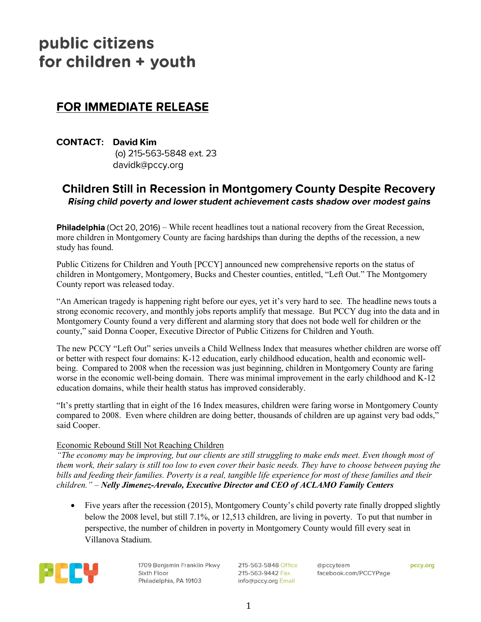# public citizens for children + youth

## **FOR IMMEDIATE RELEASE**

**CONTACT: David Kim** (o) 215-563-5848 ext. 23 davidk@pccy.org

### **Children Still in Recession in Montgomery County Despite Recovery** Rising child poverty and lower student achievement casts shadow over modest gains

**Philadelphia** (Oct 20, 2016) – While recent headlines tout a national recovery from the Great Recession, more children in Montgomery County are facing hardships than during the depths of the recession, a new study has found.

Public Citizens for Children and Youth [PCCY] announced new comprehensive reports on the status of children in Montgomery, Montgomery, Bucks and Chester counties, entitled, "Left Out." The Montgomery County report was released today.

"An American tragedy is happening right before our eyes, yet it's very hard to see. The headline news touts a strong economic recovery, and monthly jobs reports amplify that message. But PCCY dug into the data and in Montgomery County found a very different and alarming story that does not bode well for children or the county," said Donna Cooper, Executive Director of Public Citizens for Children and Youth.

The new PCCY "Left Out" series unveils a Child Wellness Index that measures whether children are worse off or better with respect four domains: K-12 education, early childhood education, health and economic wellbeing. Compared to 2008 when the recession was just beginning, children in Montgomery County are faring worse in the economic well-being domain. There was minimal improvement in the early childhood and K-12 education domains, while their health status has improved considerably.

"It's pretty startling that in eight of the 16 Index measures, children were faring worse in Montgomery County compared to 2008. Even where children are doing better, thousands of children are up against very bad odds," said Cooper.

#### Economic Rebound Still Not Reaching Children

*"The economy may be improving, but our clients are still struggling to make ends meet. Even though most of them work, their salary is still too low to even cover their basic needs. They have to choose between paying the bills and feeding their families. Poverty is a real, tangible life experience for most of these families and their children." – Nelly Jimenez-Arevalo, Executive Director and CEO of ACLAMO Family Centers*

• Five years after the recession (2015), Montgomery County's child poverty rate finally dropped slightly below the 2008 level, but still 7.1%, or 12,513 children, are living in poverty. To put that number in perspective, the number of children in poverty in Montgomery County would fill every seat in Villanova Stadium.



1709 Benjamin Franklin Pkwy Sixth Floor Philadelphia, PA 19103

215-563-5848 Office 215-563-9442 Fax info@pccy.org Email

@pccyteam facebook.com/PCCYPage pccy.org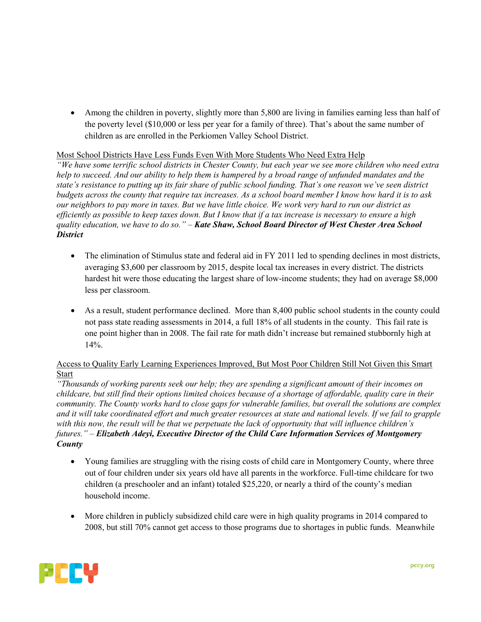Among the children in poverty, slightly more than 5,800 are living in families earning less than half of the poverty level (\$10,000 or less per year for a family of three). That's about the same number of children as are enrolled in the Perkiomen Valley School District.

#### Most School Districts Have Less Funds Even With More Students Who Need Extra Help

*"We have some terrific school districts in Chester County, but each year we see more children who need extra help to succeed. And our ability to help them is hampered by a broad range of unfunded mandates and the state's resistance to putting up its fair share of public school funding. That's one reason we've seen district budgets across the county that require tax increases. As a school board member I know how hard it is to ask our neighbors to pay more in taxes. But we have little choice. We work very hard to run our district as efficiently as possible to keep taxes down. But I know that if a tax increase is necessary to ensure a high quality education, we have to do so." – Kate Shaw, School Board Director of West Chester Area School District*

- The elimination of Stimulus state and federal aid in FY 2011 led to spending declines in most districts, averaging \$3,600 per classroom by 2015, despite local tax increases in every district. The districts hardest hit were those educating the largest share of low-income students; they had on average \$8,000 less per classroom.
- As a result, student performance declined. More than 8,400 public school students in the county could not pass state reading assessments in 2014, a full 18% of all students in the county. This fail rate is one point higher than in 2008. The fail rate for math didn't increase but remained stubbornly high at 14%.

#### Access to Quality Early Learning Experiences Improved, But Most Poor Children Still Not Given this Smart Start

*"Thousands of working parents seek our help; they are spending a significant amount of their incomes on childcare, but still find their options limited choices because of a shortage of affordable, quality care in their community. The County works hard to close gaps for vulnerable families, but overall the solutions are complex and it will take coordinated effort and much greater resources at state and national levels. If we fail to grapple with this now, the result will be that we perpetuate the lack of opportunity that will influence children's futures." – Elizabeth Adeyi, Executive Director of the Child Care Information Services of Montgomery County*

- Young families are struggling with the rising costs of child care in Montgomery County, where three out of four children under six years old have all parents in the workforce. Full-time childcare for two children (a preschooler and an infant) totaled \$25,220, or nearly a third of the county's median household income.
- More children in publicly subsidized child care were in high quality programs in 2014 compared to 2008, but still 70% cannot get access to those programs due to shortages in public funds. Meanwhile

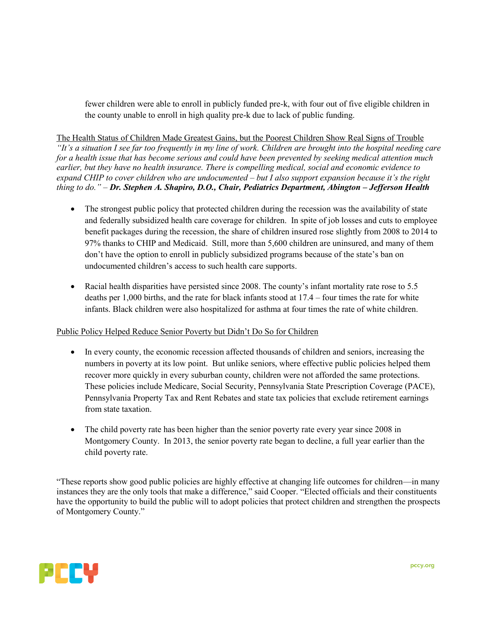fewer children were able to enroll in publicly funded pre-k, with four out of five eligible children in the county unable to enroll in high quality pre-k due to lack of public funding.

The Health Status of Children Made Greatest Gains, but the Poorest Children Show Real Signs of Trouble *"It's a situation I see far too frequently in my line of work. Children are brought into the hospital needing care for a health issue that has become serious and could have been prevented by seeking medical attention much earlier, but they have no health insurance. There is compelling medical, social and economic evidence to expand CHIP to cover children who are undocumented – but I also support expansion because it's the right thing to do." – Dr. Stephen A. Shapiro, D.O., Chair, Pediatrics Department, Abington – Jefferson Health* 

- The strongest public policy that protected children during the recession was the availability of state and federally subsidized health care coverage for children. In spite of job losses and cuts to employee benefit packages during the recession, the share of children insured rose slightly from 2008 to 2014 to 97% thanks to CHIP and Medicaid. Still, more than 5,600 children are uninsured, and many of them don't have the option to enroll in publicly subsidized programs because of the state's ban on undocumented children's access to such health care supports.
- Racial health disparities have persisted since 2008. The county's infant mortality rate rose to 5.5 deaths per 1,000 births, and the rate for black infants stood at 17.4 – four times the rate for white infants. Black children were also hospitalized for asthma at four times the rate of white children.

#### Public Policy Helped Reduce Senior Poverty but Didn't Do So for Children

- In every county, the economic recession affected thousands of children and seniors, increasing the numbers in poverty at its low point. But unlike seniors, where effective public policies helped them recover more quickly in every suburban county, children were not afforded the same protections. These policies include Medicare, Social Security, Pennsylvania State Prescription Coverage (PACE), Pennsylvania Property Tax and Rent Rebates and state tax policies that exclude retirement earnings from state taxation.
- The child poverty rate has been higher than the senior poverty rate every year since 2008 in Montgomery County. In 2013, the senior poverty rate began to decline, a full year earlier than the child poverty rate.

"These reports show good public policies are highly effective at changing life outcomes for children—in many instances they are the only tools that make a difference," said Cooper. "Elected officials and their constituents have the opportunity to build the public will to adopt policies that protect children and strengthen the prospects of Montgomery County."

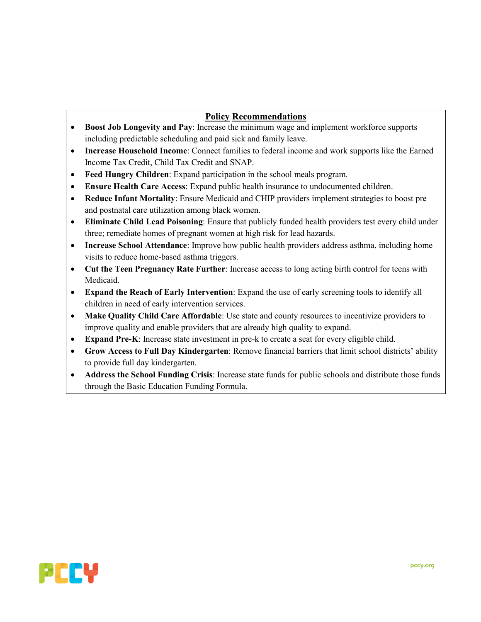#### **Policy Recommendations**

- **Boost Job Longevity and Pay**: Increase the minimum wage and implement workforce supports including predictable scheduling and paid sick and family leave.
- **Increase Household Income**: Connect families to federal income and work supports like the Earned Income Tax Credit, Child Tax Credit and SNAP.
- **Feed Hungry Children**: Expand participation in the school meals program.
- **Ensure Health Care Access**: Expand public health insurance to undocumented children.
- **Reduce Infant Mortality**: Ensure Medicaid and CHIP providers implement strategies to boost pre and postnatal care utilization among black women.
- **Eliminate Child Lead Poisoning**: Ensure that publicly funded health providers test every child under three; remediate homes of pregnant women at high risk for lead hazards.
- **Increase School Attendance**: Improve how public health providers address asthma, including home visits to reduce home-based asthma triggers.
- **Cut the Teen Pregnancy Rate Further**: Increase access to long acting birth control for teens with Medicaid.
- **Expand the Reach of Early Intervention**: Expand the use of early screening tools to identify all children in need of early intervention services.
- **Make Quality Child Care Affordable**: Use state and county resources to incentivize providers to improve quality and enable providers that are already high quality to expand.
- **Expand Pre-K**: Increase state investment in pre-k to create a seat for every eligible child.
- **Grow Access to Full Day Kindergarten**: Remove financial barriers that limit school districts' ability to provide full day kindergarten.
- **Address the School Funding Crisis**: Increase state funds for public schools and distribute those funds through the Basic Education Funding Formula.